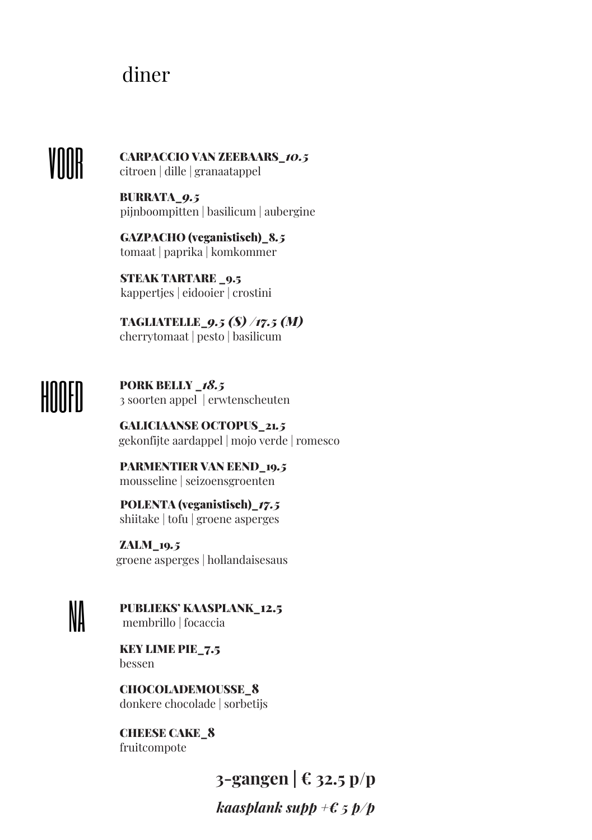## diner

## VOOR

CARPACCIO VAN ZEEBAARS\_*10.5* citroen | dille | granaatappel

BURRATA\_*9.5* pijnboompitten | basilicum | aubergine

GAZPACHO (veganistisch)\_8*.5* tomaat | paprika | komkommer

STEAK TARTARE \_9.5 kappertjes | eidooier | crostini

TAGLIATELLE\_*9.5 (S) /17.5 (M)* cherrytomaat | pesto | basilicum

HOOFD

PORK BELLY \_*18.5* 3 soorten appel | erwtenscheuten

GALICIAANSE OCTOPUS\_21*.5* gekonfijte aardappel | mojo verde | romesco

 PARMENTIER VAN EEND\_19*.5* mousseline | seizoensgroenten

POLENTA (veganistisch)\_*17.5* shiitake | tofu | groene asperges

ZALM\_19*.5* groene asperges | hollandaisesaus

NA PUBLIEKS' KAASPLANK\_12.5 membrillo | focaccia

KEY LIME PIE\_7.5 bessen

CHOCOLADEMOUSSE\_8 donkere chocolade | sorbetijs

CHEESE CAKE\_8 fruitcompote

**3-gangen | € 32.5 p/p**

*kaasplank supp +€ 5 p/p*